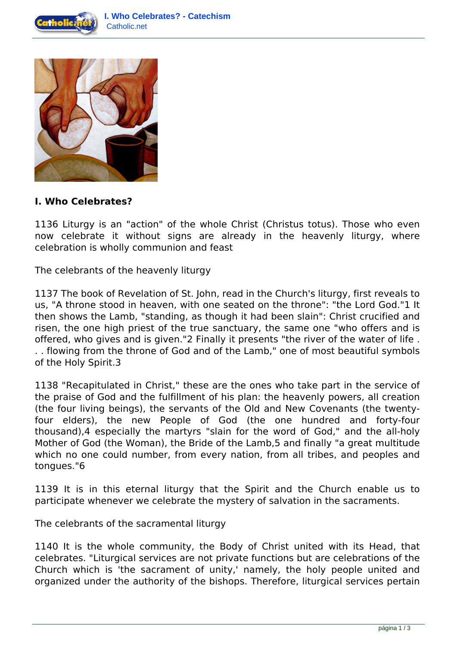



## **I. Who Celebrates?**

1136 Liturgy is an "action" of the whole Christ (Christus totus). Those who even now celebrate it without signs are already in the heavenly liturgy, where celebration is wholly communion and feast

The celebrants of the heavenly liturgy

1137 The book of Revelation of St. John, read in the Church's liturgy, first reveals to us, "A throne stood in heaven, with one seated on the throne": "the Lord God."1 It then shows the Lamb, "standing, as though it had been slain": Christ crucified and risen, the one high priest of the true sanctuary, the same one "who offers and is offered, who gives and is given."2 Finally it presents "the river of the water of life . . . flowing from the throne of God and of the Lamb," one of most beautiful symbols of the Holy Spirit.3

1138 "Recapitulated in Christ," these are the ones who take part in the service of the praise of God and the fulfillment of his plan: the heavenly powers, all creation (the four living beings), the servants of the Old and New Covenants (the twentyfour elders), the new People of God (the one hundred and forty-four thousand),4 especially the martyrs "slain for the word of God," and the all-holy Mother of God (the Woman), the Bride of the Lamb,5 and finally "a great multitude which no one could number, from every nation, from all tribes, and peoples and tongues."6

1139 It is in this eternal liturgy that the Spirit and the Church enable us to participate whenever we celebrate the mystery of salvation in the sacraments.

The celebrants of the sacramental liturgy

1140 It is the whole community, the Body of Christ united with its Head, that celebrates. "Liturgical services are not private functions but are celebrations of the Church which is 'the sacrament of unity,' namely, the holy people united and organized under the authority of the bishops. Therefore, liturgical services pertain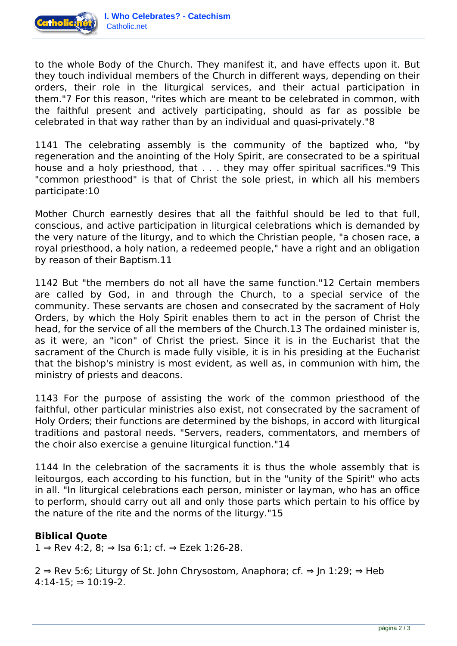

to the whole Body of the Church. They manifest it, and have effects upon it. But they touch individual members of the Church in different ways, depending on their orders, their role in the liturgical services, and their actual participation in them."7 For this reason, "rites which are meant to be celebrated in common, with the faithful present and actively participating, should as far as possible be celebrated in that way rather than by an individual and quasi-privately."8

1141 The celebrating assembly is the community of the baptized who, "by regeneration and the anointing of the Holy Spirit, are consecrated to be a spiritual house and a holy priesthood, that . . . they may offer spiritual sacrifices."9 This "common priesthood" is that of Christ the sole priest, in which all his members participate:10

Mother Church earnestly desires that all the faithful should be led to that full, conscious, and active participation in liturgical celebrations which is demanded by the very nature of the liturgy, and to which the Christian people, "a chosen race, a royal priesthood, a holy nation, a redeemed people," have a right and an obligation by reason of their Baptism.11

1142 But "the members do not all have the same function."12 Certain members are called by God, in and through the Church, to a special service of the community. These servants are chosen and consecrated by the sacrament of Holy Orders, by which the Holy Spirit enables them to act in the person of Christ the head, for the service of all the members of the Church.13 The ordained minister is, as it were, an "icon" of Christ the priest. Since it is in the Eucharist that the sacrament of the Church is made fully visible, it is in his presiding at the Eucharist that the bishop's ministry is most evident, as well as, in communion with him, the ministry of priests and deacons.

1143 For the purpose of assisting the work of the common priesthood of the faithful, other particular ministries also exist, not consecrated by the sacrament of Holy Orders; their functions are determined by the bishops, in accord with liturgical traditions and pastoral needs. "Servers, readers, commentators, and members of the choir also exercise a genuine liturgical function."14

1144 In the celebration of the sacraments it is thus the whole assembly that is leitourgos, each according to his function, but in the "unity of the Spirit" who acts in all. "In liturgical celebrations each person, minister or layman, who has an office to perform, should carry out all and only those parts which pertain to his office by the nature of the rite and the norms of the liturgy."15

## **Biblical Quote**

 $1 \Rightarrow$  Rev 4:2, 8;  $\Rightarrow$  Isa 6:1; cf.  $\Rightarrow$  Ezek 1:26-28.

2 ⇒ Rev 5:6; Liturgy of St. John Chrysostom, Anaphora; cf. ⇒ Jn 1:29; ⇒ Heb  $4:14-15$ ; ⇒ 10:19-2.